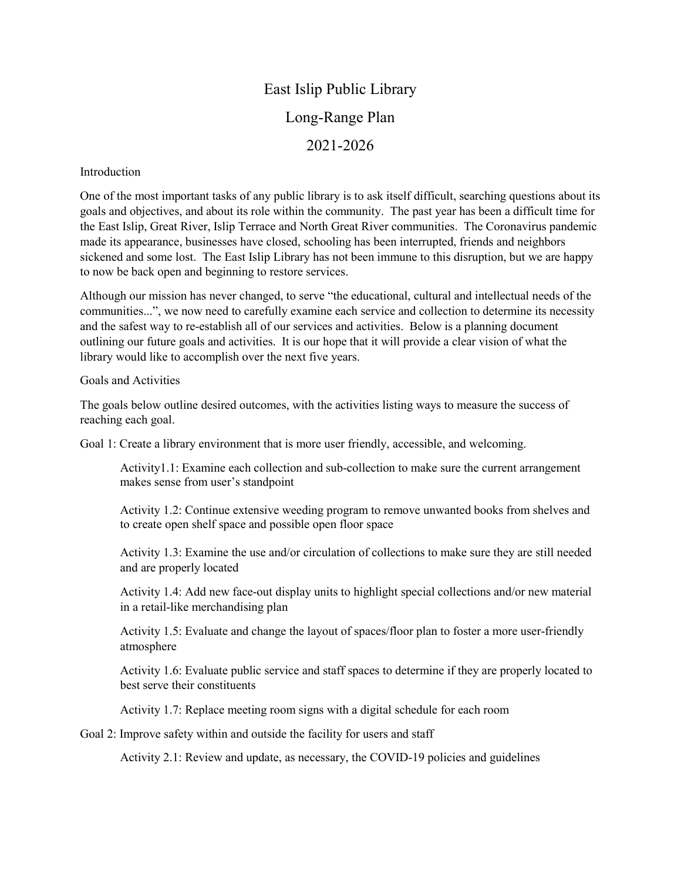## East Islip Public Library Long-Range Plan 2021-2026

## Introduction

One of the most important tasks of any public library is to ask itself difficult, searching questions about its goals and objectives, and about its role within the community. The past year has been a difficult time for the East Islip, Great River, Islip Terrace and North Great River communities. The Coronavirus pandemic made its appearance, businesses have closed, schooling has been interrupted, friends and neighbors sickened and some lost. The East Islip Library has not been immune to this disruption, but we are happy to now be back open and beginning to restore services.

Although our mission has never changed, to serve "the educational, cultural and intellectual needs of the communities...", we now need to carefully examine each service and collection to determine its necessity and the safest way to re-establish all of our services and activities. Below is a planning document outlining our future goals and activities. It is our hope that it will provide a clear vision of what the library would like to accomplish over the next five years.

## Goals and Activities

The goals below outline desired outcomes, with the activities listing ways to measure the success of reaching each goal.

Goal 1: Create a library environment that is more user friendly, accessible, and welcoming.

Activity1.1: Examine each collection and sub-collection to make sure the current arrangement makes sense from user's standpoint

Activity 1.2: Continue extensive weeding program to remove unwanted books from shelves and to create open shelf space and possible open floor space

Activity 1.3: Examine the use and/or circulation of collections to make sure they are still needed and are properly located

Activity 1.4: Add new face-out display units to highlight special collections and/or new material in a retail-like merchandising plan

Activity 1.5: Evaluate and change the layout of spaces/floor plan to foster a more user-friendly atmosphere

Activity 1.6: Evaluate public service and staff spaces to determine if they are properly located to best serve their constituents

Activity 1.7: Replace meeting room signs with a digital schedule for each room

Goal 2: Improve safety within and outside the facility for users and staff

Activity 2.1: Review and update, as necessary, the COVID-19 policies and guidelines